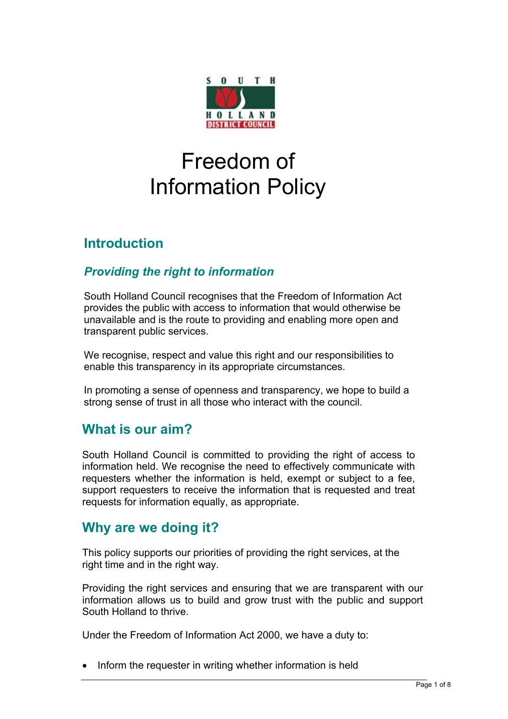

# Freedom of Information Policy

### **Introduction**

#### *Providing the right to information*

South Holland Council recognises that the Freedom of Information Act provides the public with access to information that would otherwise be unavailable and is the route to providing and enabling more open and transparent public services.

We recognise, respect and value this right and our responsibilities to enable this transparency in its appropriate circumstances.

In promoting a sense of openness and transparency, we hope to build a strong sense of trust in all those who interact with the council.

#### **What is our aim?**

South Holland Council is committed to providing the right of access to information held. We recognise the need to effectively communicate with requesters whether the information is held, exempt or subject to a fee, support requesters to receive the information that is requested and treat requests for information equally, as appropriate.

#### **Why are we doing it?**

This policy supports our priorities of providing the right services, at the right time and in the right way.

Providing the right services and ensuring that we are transparent with our information allows us to build and grow trust with the public and support South Holland to thrive.

Under the Freedom of Information Act 2000, we have a duty to:

Inform the requester in writing whether information is held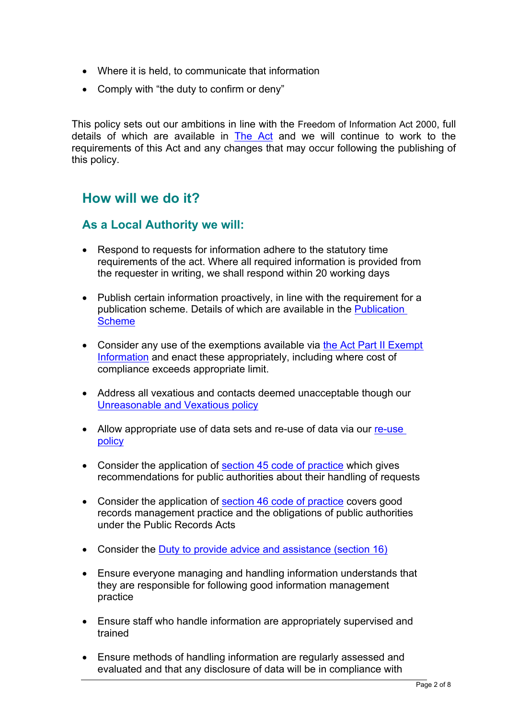- Where it is held, to communicate that information
- Comply with "the duty to confirm or deny"

This policy sets out our ambitions in line with the Freedom of Information Act 2000, full details of which are available in [The](http://www.legislation.gov.uk/ukpga/2000/36/contents) Act and we will continue to work to the requirements of this Act and any changes that may occur following the publishing of this policy.

#### **How will we do it?**

#### **As a Local Authority we will:**

- Respond to requests for information adhere to the statutory time requirements of the act. Where all required information is provided from the requester in writing, we shall respond within 20 working days
- Publish certain information proactively, in line with the requirement for a publication scheme. Details of which are available in the [Publication](https://www.sholland.gov.uk/article/6669/Publication-Scheme) **[Scheme](https://www.sholland.gov.uk/article/6669/Publication-Scheme)**
- Consider any use of the exemptions available via the Act Part II [Exempt](https://www.legislation.gov.uk/ukpga/2000/36/contents) [Information](https://www.legislation.gov.uk/ukpga/2000/36/contents) and enact these appropriately, including where cost of compliance exceeds appropriate limit.
- Address all vexatious and contacts deemed unacceptable though our [Unreasonable](https://www.sholland.gov.uk/article/7561/Vexatious-Policy) and Vexatious policy
- Allow appropriate use of data sets and [re-use](https://www.sholland.gov.uk/article/6672/Re-use-of-Public-Sector-Information) of data via our re-use [policy](https://www.sholland.gov.uk/article/6672/Re-use-of-Public-Sector-Information)
- Consider the application of section 45 code of [practice](https://www.gov.uk/government/publications/code-of-practice-on-the-discharge-of-public-authorities-functions-under-part-1-of-the-freedom-of-information-act-2000) which gives recommendations for public authorities about their handling of requests
- Consider the application of section 46 code of [practice](https://ico.org.uk/media/for-organisations/research-and-reports/1432475/foi-section-46-code-of-practice-1.pdf) covers good records management practice and the obligations of public authorities under the Public Records Acts
- Consider the Duty to provide advice and [assistance](https://ico.org.uk/media/for-organisations/documents/1624140/duty-to-provide-advice-and-assistance-foia-section-16.pdf) (section 16)
- Ensure everyone managing and handling information understands that they are responsible for following good information management practice
- Ensure staff who handle information are appropriately supervised and trained
- Ensure methods of handling information are regularly assessed and evaluated and that any disclosure of data will be in compliance with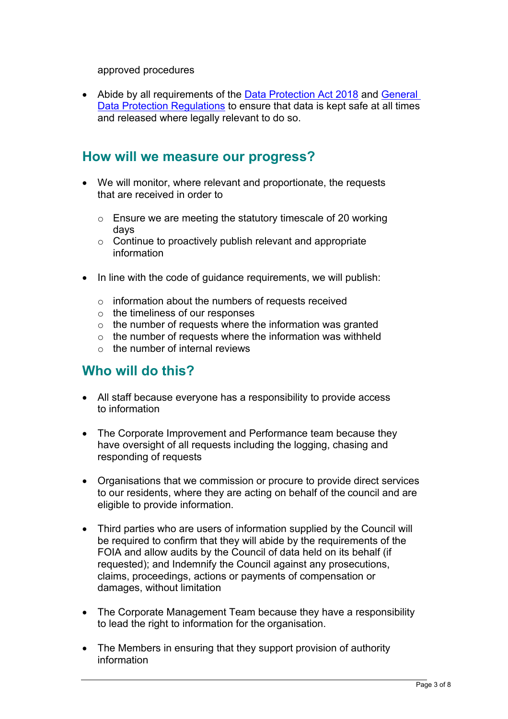approved procedures

• Abide by all requirements of the Data [Protection](http://www.legislation.gov.uk/ukpga/2018/12/contents/enacted) Act 2018 and [General](https://publications.europa.eu/en/publication-detail/-/publication/3e485e15-11bd-11e6-ba9a-01aa75ed71a1/language-en) Data Protection [Regulations](https://publications.europa.eu/en/publication-detail/-/publication/3e485e15-11bd-11e6-ba9a-01aa75ed71a1/language-en) to ensure that data is kept safe at all times and released where legally relevant to do so.

#### **How will we measure our progress?**

- We will monitor, where relevant and proportionate, the requests that are received in order to
	- o Ensure we are meeting the statutory timescale of 20 working days
	- $\circ$  Continue to proactively publish relevant and appropriate information
- In line with the code of quidance requirements, we will publish:
	- $\circ$  information about the numbers of requests received
	- o the timeliness of our responses
	- $\circ$  the number of requests where the information was granted
	- $\circ$  the number of requests where the information was withheld
	- $\circ$  the number of internal reviews

#### **Who will do this?**

- All staff because everyone has a responsibility to provide access to information
- The Corporate Improvement and Performance team because they have oversight of all requests including the logging, chasing and responding of requests
- Organisations that we commission or procure to provide direct services to our residents, where they are acting on behalf of the council and are eligible to provide information.
- Third parties who are users of information supplied by the Council will be required to confirm that they will abide by the requirements of the FOIA and allow audits by the Council of data held on its behalf (if requested); and Indemnify the Council against any prosecutions, claims, proceedings, actions or payments of compensation or damages, without limitation
- The Corporate Management Team because they have a responsibility to lead the right to information for the organisation.
- The Members in ensuring that they support provision of authority information